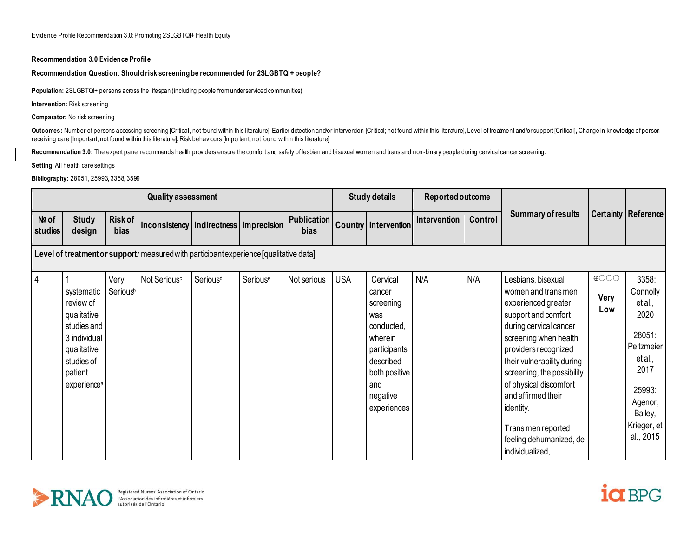Evidence Profile Recommendation 3.0: Promoting 2SLGBTQI+ Health Equity

#### **Recommendation 3.0 Evidence Profile**

#### **Recommendation Question**: **Should risk screening be recommended for 2SLGBTQI+ people?**

**Population:** 2SLGBTQI+ persons across the lifespan (including people from underserviced communities)

**Intervention:** Risk screening

**Comparator:** No risk screening

Outcomes: Number of persons accessing screening [Critical, not found within this literature], Earlier detection and/or intervention [Critical; not found within this literature], Level of treatment and/or support [Critical] receiving care [Important; not found within this literature]**,** Risk behaviours [Important; not found within this literature]

Recommendation 3.0: The expert panel recommends health providers ensure the comfort and safety of lesbian and bisexual women and trans and non -binary people during cervical cancer screening.

**Setting**: All health care settings

**Bibliography:** 28051, 25993, 3358, 3599

| <b>Quality assessment</b>                                                              |                                                                                                                                          |                              |                                            |                      |          |                            | <b>Study details</b> |                                                                                                                                                 | Reported outcome |         |                                                                                                                                                                                                                                                                                                                                                                 |                              |                                                                                                                                             |
|----------------------------------------------------------------------------------------|------------------------------------------------------------------------------------------------------------------------------------------|------------------------------|--------------------------------------------|----------------------|----------|----------------------------|----------------------|-------------------------------------------------------------------------------------------------------------------------------------------------|------------------|---------|-----------------------------------------------------------------------------------------------------------------------------------------------------------------------------------------------------------------------------------------------------------------------------------------------------------------------------------------------------------------|------------------------------|---------------------------------------------------------------------------------------------------------------------------------------------|
| Nº of<br>studies                                                                       | <b>Study</b><br>design                                                                                                                   | Risk of<br>bias              | Inconsistency   Indirectness   Imprecision |                      |          | <b>Publication</b><br>bias |                      | Country   Intervention                                                                                                                          | Intervention     | Control | <b>Summary of results</b>                                                                                                                                                                                                                                                                                                                                       | <b>Certainty   Reference</b> |                                                                                                                                             |
| Level of treatment or support: measured with participant experience [qualitative data] |                                                                                                                                          |                              |                                            |                      |          |                            |                      |                                                                                                                                                 |                  |         |                                                                                                                                                                                                                                                                                                                                                                 |                              |                                                                                                                                             |
| $\overline{4}$                                                                         | systematic<br>review of<br>qualitative<br>studies and<br>3 individual<br>qualitative<br>studies of<br>patient<br>experience <sup>a</sup> | Very<br>Serious <sup>b</sup> | Not Serious <sup>c</sup>                   | Serious <sup>d</sup> | Seriouse | Not serious                | <b>USA</b>           | Cervical<br>cancer<br>screening<br>was<br>conducted,<br>wherein<br>participants<br>described<br>both positive<br>and<br>negative<br>experiences | N/A              | N/A     | Lesbians, bisexual<br>women and transmen<br>experienced greater<br>support and comfort<br>during cervical cancer<br>screening when health<br>providers recognized<br>their vulnerability during<br>screening, the possibility<br>of physical discomfort<br>and affirmed their<br>identity.<br>Trans men reported<br>feeling dehumanized, de-<br>individualized, | $\bigoplus$<br>Very<br>Low   | 3358:<br>Connolly<br>et al.,<br>2020<br>28051:<br>Peitzmeier<br>et al.,<br>2017<br>25993:<br>Agenor,<br>Bailey,<br>Krieger, et<br>al., 2015 |



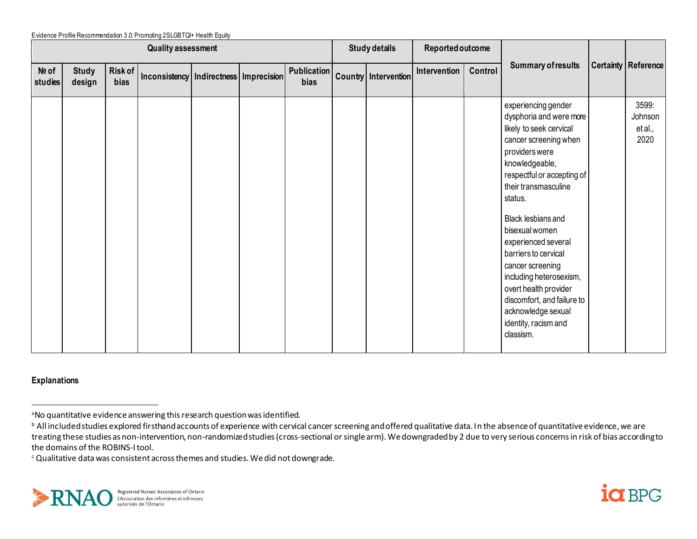|                  |                           |                 | Evidence Profile Recommendation 3.0: Promoting 2SLGBTQI+ Health Equity |  |  |  |                      |                                  |                  |         |                                                                                                                                                                                                                                                                                                                                                                                                                                                                 |                                     |
|------------------|---------------------------|-----------------|------------------------------------------------------------------------|--|--|--|----------------------|----------------------------------|------------------|---------|-----------------------------------------------------------------------------------------------------------------------------------------------------------------------------------------------------------------------------------------------------------------------------------------------------------------------------------------------------------------------------------------------------------------------------------------------------------------|-------------------------------------|
|                  | <b>Quality assessment</b> |                 |                                                                        |  |  |  | <b>Study details</b> |                                  | Reported outcome |         |                                                                                                                                                                                                                                                                                                                                                                                                                                                                 |                                     |
| Nº of<br>studies | <b>Study</b><br>design    | Risk of<br>bias | Inconsistency   Indirectness   Imprecision                             |  |  |  |                      | Publication Country Intervention | Intervention     | Control | <b>Summary of results</b>                                                                                                                                                                                                                                                                                                                                                                                                                                       | <b>Certainty   Reference</b>        |
|                  |                           |                 |                                                                        |  |  |  |                      |                                  |                  |         | experiencing gender<br>dysphoria and were more<br>likely to seek cervical<br>cancer screening when<br>providers were<br>knowledgeable,<br>respectful or accepting of<br>their transmasculine<br>status.<br>Black lesbians and<br>bisexual women<br>experienced several<br>barriers to cervical<br>cancer screening<br>including heterosexism,<br>overt health provider<br>discomfort, and failure to<br>acknowledge sexual<br>identity, racism and<br>classism. | 3599:<br>Johnson<br>et al.,<br>2020 |

### **Explanations**

<sup>c</sup> Qualitative data was consistent across themes and studies. We did not downgrade.





<sup>&</sup>lt;sup>a</sup>No quantitative evidence answering this research question was identified.

**b** All included studies explored firsthand accounts of experience with cervical cancer screening and offered qualitative data. In the absence of quantitative evidence, we are treating these studies as non-intervention, non-randomized studies (cross-sectional or single arm). We downgraded by 2 due to very serious concerns in risk of bias according to the domains of the ROBINS-I tool.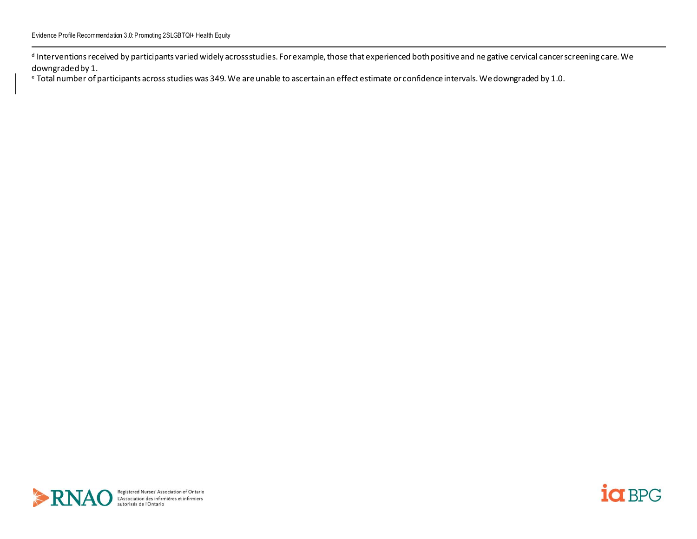d Interventions received by participants varied widely acrossstudies. For example, those that experienced both positive and ne gative cervical cancer screening care. We downgraded by 1.

<sup>e</sup> Total number of participants across studies was 349. We are unable to ascertain an effect estimate or confidence intervals. We downgraded by 1.0.



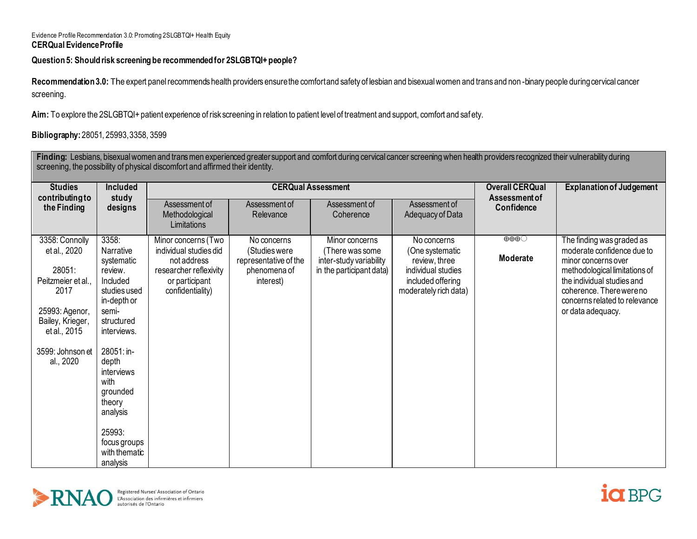### Evidence Profile Recommendation 3.0: Promoting 2SLGBTQI+ Health Equity **CERQual Evidence Profile**

# **Question 5: Should risk screening be recommended for 2SLGBTQI+ people?**

Recommendation 3.0: The expert panel recommends health providers ensure the comfort and safety of lesbian and bisexual women and trans and non -binary people during cervical cancer screening.

**Aim:** To explore the 2SLGBTQI+ patient experience of risk screening in relation to patient level of treatment and support, comfort and saf ety.

# **Bibliography:** 28051, 25993, 3358, 3599

| Finding: Lesbians, bisexual women and trans men experienced greater support and comfort during cervical cancer screening when health providers recognized their vulnerability during<br>screening, the possibility of physical discomfort and affirmed their identity. |                               |                                                |                                        |                                            |                                            |                                    |                                                      |  |  |  |
|------------------------------------------------------------------------------------------------------------------------------------------------------------------------------------------------------------------------------------------------------------------------|-------------------------------|------------------------------------------------|----------------------------------------|--------------------------------------------|--------------------------------------------|------------------------------------|------------------------------------------------------|--|--|--|
| <b>Studies</b>                                                                                                                                                                                                                                                         | <b>Included</b>               |                                                | <b>CERQual Assessment</b>              | <b>Overall CERQual</b>                     | <b>Explanation of Judgement</b>            |                                    |                                                      |  |  |  |
| contributing to<br>the Finding                                                                                                                                                                                                                                         | study<br>designs              | Assessment of<br>Methodological<br>Limitations | Assessment of<br>Relevance             | Assessment of<br>Coherence                 | Assessment of<br>Adequacy of Data          | <b>Assessment of</b><br>Confidence |                                                      |  |  |  |
| 3358: Connolly                                                                                                                                                                                                                                                         | 3358:                         | Minor concerns (Two                            | No concerns                            | Minor concerns                             | No concerns                                | $\oplus \oplus \oplus \odot$       | The finding was graded as                            |  |  |  |
| et al., 2020                                                                                                                                                                                                                                                           | Narrative<br>systematic       | individual studies did<br>not address          | (Studies were<br>representative of the | (There was some<br>inter-study variability | (One systematic<br>review, three           | Moderate                           | moderate confidence due to<br>minor concerns over    |  |  |  |
| 28051:                                                                                                                                                                                                                                                                 | review.                       | researcher reflexivity                         | phenomena of                           | in the participant data)                   | individual studies                         |                                    | methodological limitations of                        |  |  |  |
| Peitzmeier et al<br>2017                                                                                                                                                                                                                                               | Included<br>studies used      | or participant<br>confidentiality)             | interest)                              |                                            | included offering<br>moderately rich data) |                                    | the individual studies and<br>coherence. Therewereno |  |  |  |
|                                                                                                                                                                                                                                                                        | in-depth or                   |                                                |                                        |                                            |                                            |                                    | concerns related to relevance                        |  |  |  |
| 25993: Agenor,                                                                                                                                                                                                                                                         | semi-                         |                                                |                                        |                                            |                                            |                                    | or data adequacy.                                    |  |  |  |
| Bailey, Krieger,<br>et al., 2015                                                                                                                                                                                                                                       | structured<br>interviews.     |                                                |                                        |                                            |                                            |                                    |                                                      |  |  |  |
|                                                                                                                                                                                                                                                                        |                               |                                                |                                        |                                            |                                            |                                    |                                                      |  |  |  |
| 3599: Johnson et                                                                                                                                                                                                                                                       | 28051: in-                    |                                                |                                        |                                            |                                            |                                    |                                                      |  |  |  |
| al., 2020                                                                                                                                                                                                                                                              | depth<br>interviews           |                                                |                                        |                                            |                                            |                                    |                                                      |  |  |  |
|                                                                                                                                                                                                                                                                        | with                          |                                                |                                        |                                            |                                            |                                    |                                                      |  |  |  |
|                                                                                                                                                                                                                                                                        | grounded                      |                                                |                                        |                                            |                                            |                                    |                                                      |  |  |  |
|                                                                                                                                                                                                                                                                        | theory<br>analysis            |                                                |                                        |                                            |                                            |                                    |                                                      |  |  |  |
|                                                                                                                                                                                                                                                                        |                               |                                                |                                        |                                            |                                            |                                    |                                                      |  |  |  |
|                                                                                                                                                                                                                                                                        | 25993:                        |                                                |                                        |                                            |                                            |                                    |                                                      |  |  |  |
|                                                                                                                                                                                                                                                                        | focus groups<br>with thematic |                                                |                                        |                                            |                                            |                                    |                                                      |  |  |  |
|                                                                                                                                                                                                                                                                        | analysis                      |                                                |                                        |                                            |                                            |                                    |                                                      |  |  |  |



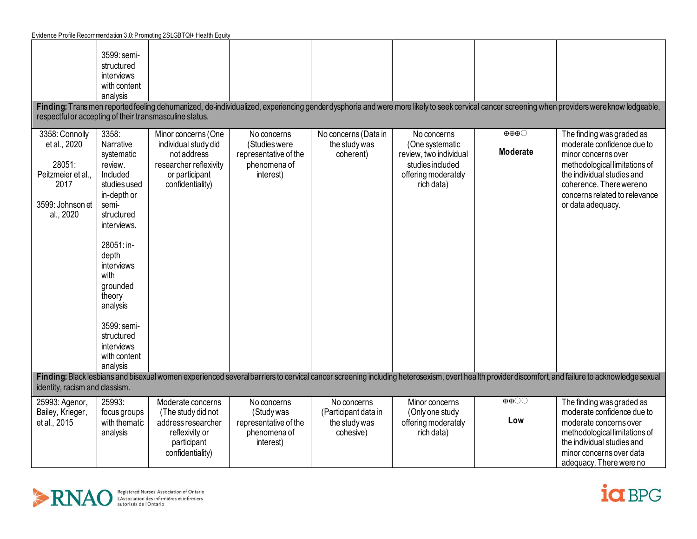| Evidence Profile Recommendation 3.0: Promoting 2SLGBTQI+ Health Equity                                                                                                                                                             |                                                                                                                                                                                                                                                                           |                                                                                                                    |                                                                                 |                                                                   |                                                                                                    |                   |                                                                                                                                                                                                                           |  |  |
|------------------------------------------------------------------------------------------------------------------------------------------------------------------------------------------------------------------------------------|---------------------------------------------------------------------------------------------------------------------------------------------------------------------------------------------------------------------------------------------------------------------------|--------------------------------------------------------------------------------------------------------------------|---------------------------------------------------------------------------------|-------------------------------------------------------------------|----------------------------------------------------------------------------------------------------|-------------------|---------------------------------------------------------------------------------------------------------------------------------------------------------------------------------------------------------------------------|--|--|
| respectful or accepting of their transmasculine status.<br>3358: Connolly                                                                                                                                                          | 3599: semi-<br>structured<br>interviews<br>with content<br>analysis<br>3358:                                                                                                                                                                                              | Minor concerns (One                                                                                                | No concerns                                                                     | No concerns (Data in                                              | No concerns                                                                                        | $\Theta$ $\Theta$ | Finding: Trans men reported feeling dehumanized, de-individualized, experiencing gender dysphoria and were more likely to seek cervical cancer screening when providers were know ledgeable,<br>The finding was graded as |  |  |
| et al., 2020<br>28051:<br>Peitzmeier et al.,<br>2017<br>3599: Johnson et<br>al., 2020                                                                                                                                              | Narrative<br>systematic<br>review.<br>Included<br>studies used<br>in-depth or<br>semi-<br>structured<br>interviews.<br>28051: in-<br>depth<br>interviews<br>with<br>grounded<br>theory<br>analysis<br>3599: semi-<br>structured<br>interviews<br>with content<br>analysis | individual study did<br>not address<br>researcher reflexivity<br>or participant<br>confidentiality)                | (Studies were<br>representative of the<br>phenomena of<br>interest)             | the study was<br>coherent)                                        | (One systematic<br>review, two individual<br>studies included<br>offering moderately<br>rich data) | <b>Moderate</b>   | moderate confidence due to<br>minor concerns over<br>methodological limitations of<br>the individual studies and<br>coherence. Therewereno<br>concerns related to relevance<br>or data adequacy.                          |  |  |
| Finding: Black lesbians and bisexual women experienced several barriers to cervical cancer screening including heterosexism, overt health provider discomfort, and failure to acknowledge sexual<br>identity, racism and classism. |                                                                                                                                                                                                                                                                           |                                                                                                                    |                                                                                 |                                                                   |                                                                                                    |                   |                                                                                                                                                                                                                           |  |  |
| 25993: Agenor,<br>Bailey, Krieger,<br>et al., 2015                                                                                                                                                                                 | 25993:<br>focus groups<br>with thematic<br>analysis                                                                                                                                                                                                                       | Moderate concerns<br>(The study did not<br>address researcher<br>reflexivity or<br>participant<br>confidentiality) | No concerns<br>(Study was<br>representative of the<br>phenomena of<br>interest) | No concerns<br>(Participant data in<br>the study was<br>cohesive) | Minor concerns<br>(Only one study<br>offering moderately<br>rich data)                             | $\oplus$<br>Low   | The finding was graded as<br>moderate confidence due to<br>moderate concerns over<br>methodological limitations of<br>the individual studies and<br>minor concerns over data                                              |  |  |
|                                                                                                                                                                                                                                    |                                                                                                                                                                                                                                                                           |                                                                                                                    |                                                                                 |                                                                   |                                                                                                    |                   | adequacy. There were no                                                                                                                                                                                                   |  |  |